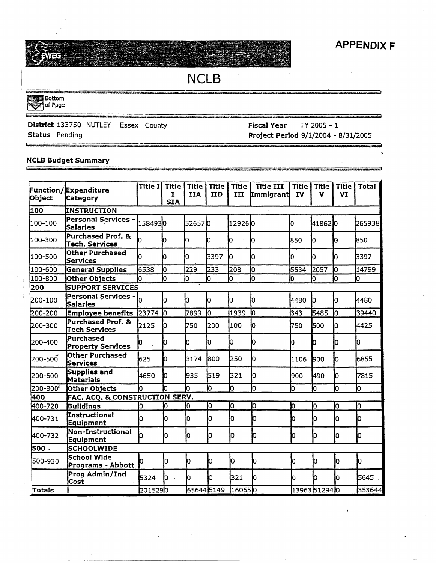# NCLB

 $\overline{\phantom{a}}$ 

Bottom . of Page

#### District 133750 NUTLEY Essex County

 $\mathcal{L}$  , and the contract of the distribution of the following probability of the contract of the contract of

**Status** Pending

 $\mathbf{G}$ 

#### **Fiscal Year** FY 2005 - 1 **Project Period** 9/1/2004 - 8/31/2005

#### **NCLB Budget Summary**

| Object   | Function/Expenditure<br>Category           | Title I | Title<br>I<br><b>SIA</b> | <b>Title</b><br><b>IIA</b> | <b>Title</b><br><b>IID</b> | <b>Title</b><br>III | <b>Title III</b><br>Immigrant | Title<br><b>IV</b> | <b>Title</b><br>v | <b>Title</b><br>VI | <b>Total</b> |
|----------|--------------------------------------------|---------|--------------------------|----------------------------|----------------------------|---------------------|-------------------------------|--------------------|-------------------|--------------------|--------------|
| 100      | INSTRUCTION                                |         |                          |                            |                            |                     |                               |                    |                   |                    |              |
| 100-100  | Personal Services<br>Salaries              | 1584930 |                          | 526570                     |                            | 129260              |                               | Ю                  | 418620            |                    | 265938       |
| 100-300  | Purchased Prof. &<br><b>Tech. Services</b> |         | Ю                        | 0                          | Ю                          | lо                  | 10                            | 850                | Iо                | Ю                  | 850          |
| 100-500  | Other Purchased<br>Services                | n       | Ю                        | o                          | 3397                       | Ю                   | O                             | O                  | Ю                 | IO.                | 3397         |
| 100-600  | <b>General Supplies</b>                    | 6538    | ю                        | 229                        | 233                        | l208                | lO                            | 5534               | 2057              | lo                 | 14799        |
| 100-800  | Other Objects                              | Ю       | b                        | In.                        | b                          | Ю                   | h                             | ю                  | 0                 | lо                 | Ю            |
| 200      | <b>SUPPORT SERVICES</b>                    |         |                          |                            |                            |                     |                               |                    |                   |                    |              |
| 1200-100 | Personal Services - 0<br>Salaries          |         | D                        | ю                          | lо                         | Ю                   | O                             | 4480               | IО                | Ю                  | 4480         |
| 200-200  | <b>Employee benefits</b>                   | 23774 0 |                          | 7899                       | Iо                         | 1939                | lo                            | 343                | 5485              | Iо                 | 39440        |
| 1200-300 | Purchased Prof. &<br>Tech Services         | 2125    | n                        | 750                        | 200                        | 100                 | IO                            | 750                | 500               | ю                  | 4425         |
| 200-400  | Purchased<br><b>Property Services</b>      | Ю       | 10                       | Ю                          | 0                          | Ю                   | Ю                             | 0                  | 0                 | IО                 | 10           |
| l200-500 | Other Purchased<br><b>Services</b>         | 625     | Ю                        | 3174                       | 800                        | 250                 | lo                            | 1106               | 1900              | 0                  | 6855         |
| 200-600  | Supplies and<br>Materials                  | 4650    | lo.                      | 935                        | 519                        | 321                 | Ю                             | l900               | 490               | Iо                 | 7815         |
| 200-800° | Other Objects                              | Iо      | h                        | h                          | lо                         | b                   | Ю                             | ſо                 | O                 | lo                 | Ю            |
| 400      | FAC. ACQ. & CONSTRUCTION SERV.             |         |                          |                            |                            |                     |                               |                    |                   |                    |              |
| 400-720  | Buildings                                  | O       | Ю                        | Ю                          | lо                         | Ю                   | Ю                             | 0                  | Iо                | IО                 | lо           |
| 400-731  | Instructional<br>Equipment                 | h       | Iо                       | IО                         | 0                          | lо                  | Ю                             | Ю                  | ю                 | Iо                 | O            |
| 400-732  | Non-Instructional<br><b>Equipment</b>      | b       | Ю                        | Ю                          | ю                          | Ю                   | Ю                             | O,                 | Ю                 | IО                 | Ю            |
| 500.     | <b>SCHOOLWIDE</b>                          |         |                          |                            |                            |                     |                               |                    |                   |                    |              |
| 500-930  | <b>School Wide</b><br>Programs - Abbott    | lO.     | Iо                       | o                          | o                          | ÌО                  | 10                            | Ю                  | Iо                | o                  | Ю            |
|          | Prog Admin/Ind<br>Cost                     | 5324    | Ю<br>$\bar{\mathcal{A}}$ | Ю                          | Ю                          | 321                 | lo                            | lO.                | Ю                 | lO.                | 5645         |
| Totals   |                                            | 2015290 |                          | 656445149                  |                            | 160650              |                               |                    | 13963 51294 0     |                    | 353644       |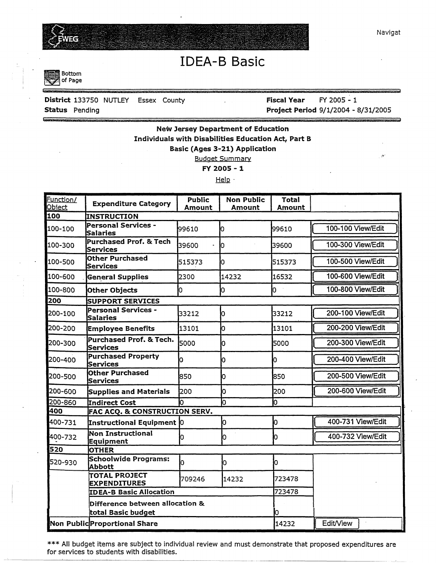

'

# IDEA-B Basic



## **District** 133750 NUTLEY Essex County

**Status** Pending

**Fiscal Year** FY 2005 - 1 **Project Period** 9/1/2004 - 8/31/2005

## **New Jersey Department of Education Individuals with Disabilities Education Act, Part B Basic (Ages 3-21) Application**

Budget Summary

**FY 2005** - **1** 

Help·

| Function/<br>Object | <b>Expenditure Category</b>                           | <b>Public</b><br>Amount | <b>Non Public</b><br>Amount | <b>Total</b><br>Amount |                   |  |  |  |  |  |
|---------------------|-------------------------------------------------------|-------------------------|-----------------------------|------------------------|-------------------|--|--|--|--|--|
| 100                 | <b>INSTRUCTION</b>                                    |                         |                             |                        |                   |  |  |  |  |  |
| 100-100             | Personal Services -<br>Salaries                       | 99610                   | ю                           | 99610                  | 100-100 View/Edit |  |  |  |  |  |
| 100-300             | <b>Purchased Prof. &amp; Tech</b><br><b>Services</b>  | 39600                   | lo.                         | 39600                  | 100-300 View/Edit |  |  |  |  |  |
| 100-500             | <b>Other Purchased</b><br><b>Services</b>             | 515373                  | O                           | 515373                 | 100-500 View/Edit |  |  |  |  |  |
| 100-600             | <b>General Supplies</b>                               | 2300                    | 14232                       | 16532                  | 100-600 View/Edit |  |  |  |  |  |
| 100-800             | <b>Other Objects</b>                                  | lo.                     | Ю                           | b                      | 100-800 View/Edit |  |  |  |  |  |
| 200                 | <b>SUPPORT SERVICES</b>                               |                         |                             |                        |                   |  |  |  |  |  |
| 200-100             | <b>Personal Services -</b><br>Salaries                | 33212                   | Ю                           | 33212                  | 200-100 View/Edit |  |  |  |  |  |
| 200-200             | <b>Employee Benefits</b>                              | 13101                   | ю                           | 13101                  | 200-200 View/Edit |  |  |  |  |  |
| 200-300             | Purchased Prof. & Tech.<br>Services                   | 5000                    | 0                           | 5000                   | 200-300 View/Edit |  |  |  |  |  |
| 200-400             | <b>Purchased Property</b><br>Services                 | O                       | 0                           | Iо                     | 200-400 View/Edit |  |  |  |  |  |
| 200-500             | <b>Other Purchased</b><br>Services                    | 850                     | lO.                         | 850                    | 200-500 View/Edit |  |  |  |  |  |
| 200-600             | Supplies and Materials                                | 200                     | O                           | 200                    | 200-600 View/Edit |  |  |  |  |  |
| 200-860             | Indirect Cost                                         | Ю                       | b                           | 0                      |                   |  |  |  |  |  |
| 400                 | <b>FAC ACQ. &amp; CONSTRUCTION SERV.</b>              |                         |                             |                        |                   |  |  |  |  |  |
| 400-731             | Instructional Equipment 0                             |                         | ю                           | 0                      | 400-731 View/Edit |  |  |  |  |  |
| 400-732             | Non Instructional<br>Equipment                        | ю                       | Ю                           | Ю                      | 400-732 View/Edit |  |  |  |  |  |
| 520                 | <b>OTHER</b>                                          |                         |                             |                        |                   |  |  |  |  |  |
| 520-930             | Schoolwide Programs:<br><b>Abbott</b>                 | lо                      | lо                          | O                      |                   |  |  |  |  |  |
|                     | <b>TOTAL PROJECT</b><br><b>EXPENDITURES</b>           | 709246                  | 14232                       | 723478                 |                   |  |  |  |  |  |
|                     | <b>IDEA-B Basic Allocation</b>                        |                         |                             | 723478                 |                   |  |  |  |  |  |
|                     | Difference between allocation &<br>total Basic budget |                         |                             | lо                     |                   |  |  |  |  |  |
|                     | Non Public Proportional Share                         |                         | 14232                       | <b>Edit/View</b>       |                   |  |  |  |  |  |

\*\*\* All budget items are subject to individual review and must demonstrate that proposed expenditures are for services to students with disabilities.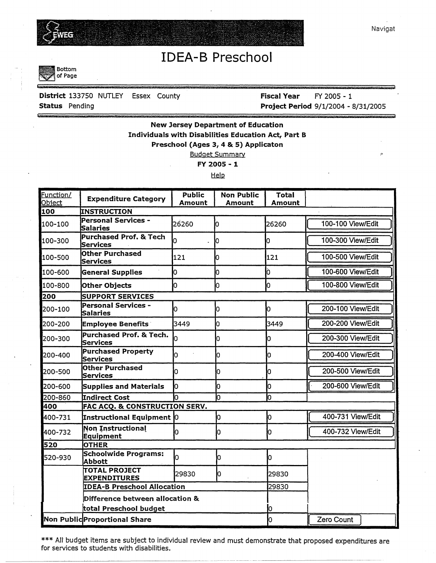

# IDEA-B Preschool

**Bottom** of Page

## **District** 133750 NUTLEY Essex County **Status** Pending

**Fiscal Year** FY 2005 - 1 **Project Period** 9/1/2004 - 8/31/2005

### **New Jersey Department of Education Individuals with Disabilities Education Act, Part B Preschool (Ages 3, 4** & **5) Applicaton**  Budget Summary

**FY 2005** - **1** 

Help

| Function/<br>Object | <b>Expenditure Category</b>                   | <b>Public</b><br>Amount | <b>Non Public</b><br>Amount | <b>Total</b><br>Amount |                   |  |  |  |  |  |
|---------------------|-----------------------------------------------|-------------------------|-----------------------------|------------------------|-------------------|--|--|--|--|--|
| 100                 | <b>INSTRUCTION</b>                            |                         |                             |                        |                   |  |  |  |  |  |
| 100-100             | Personal Services -<br><b>Salaries</b>        | 26260                   | o                           | 26260                  | 100-100 View/Edit |  |  |  |  |  |
| 100-300             | <b>Purchased Prof. &amp; Tech</b><br>Services | o                       | 10                          | 0                      | 100-300 View/Edit |  |  |  |  |  |
| 100-500             | <b>Other Purchased</b><br><b>Services</b>     | 121                     | IO.                         | 121                    | 100-500 View/Edit |  |  |  |  |  |
| 100-600             | <b>General Supplies</b>                       | lO                      | 0                           | Ò.                     | 100-600 View/Edit |  |  |  |  |  |
| 100-800             | <b>Other Objects</b>                          | ю                       | 0                           | ю                      | 100-800 View/Edit |  |  |  |  |  |
| 200                 | <b>SUPPORT SERVICES</b>                       |                         |                             |                        |                   |  |  |  |  |  |
| 200-100             | <b>Personal Services -</b><br><b>Salaries</b> | Ю                       | O                           | ю                      | 200-100 View/Edit |  |  |  |  |  |
| 200-200             | <b>Employee Benefits</b>                      | 3449                    | 0                           | 3449                   | 200-200 View/Edit |  |  |  |  |  |
| 200-300             | Purchased Prof. & Tech.<br>Services           | lo                      | O                           | O                      | 200-300 View/Edit |  |  |  |  |  |
| 200-400             | <b>Purchased Property</b><br>Services         | ю                       | n                           | O                      | 200-400 View/Edit |  |  |  |  |  |
| 200-500             | <b>Other Purchased</b><br>Services            | lо                      | IO.                         | 10                     | 200-500 View/Edit |  |  |  |  |  |
| 200-600             | Supplies and Materials                        | Iо                      | h                           | Iо                     | 200-600 View/Edit |  |  |  |  |  |
| 200-860             | <b>Indirect Cost</b>                          |                         | h                           | 0                      |                   |  |  |  |  |  |
| 400                 | FAC ACQ. & CONSTRUCTION SERV.                 |                         |                             |                        |                   |  |  |  |  |  |
| 400-731             | Instructional Equipment 0                     |                         | ю                           | o                      | 400-731 View/Edit |  |  |  |  |  |
| 400-732             | <b>Non Instructional</b><br>Equipment         | Iо                      | Ю                           | Ю                      | 400-732 View/Edit |  |  |  |  |  |
| 520                 | <b>OTHER</b>                                  |                         |                             |                        |                   |  |  |  |  |  |
| 520-930             | Schoolwide Programs:<br>Abbott                | o                       | lO                          | 0                      |                   |  |  |  |  |  |
|                     | <b>TOTAL PROJECT</b><br><b>EXPENDITURES</b>   | 29830                   | Ю                           | 29830                  |                   |  |  |  |  |  |
|                     | <b>IDEA-B Preschool Allocation</b>            |                         | 29830                       |                        |                   |  |  |  |  |  |
|                     | Difference between allocation &               |                         |                             |                        |                   |  |  |  |  |  |
|                     | total Preschool budget                        |                         | Iо                          |                        |                   |  |  |  |  |  |
|                     | Non Public Proportional Share                 |                         |                             | O                      | Zero Count        |  |  |  |  |  |

\*\*\* All budget items are subject to individual review and must demonstrate that proposed expenditures are for services to students with disabilities.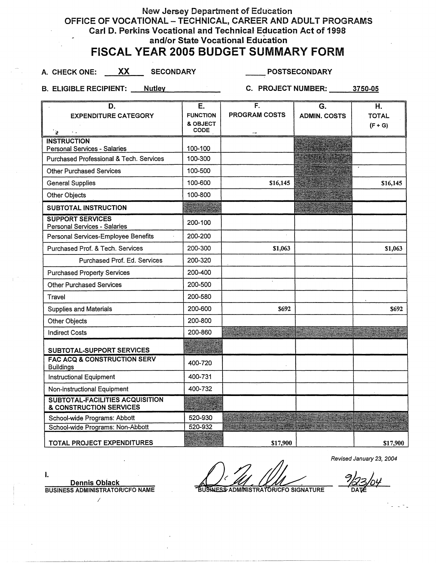## New Jersey Department of Education OFFICE OF VOCATIONAL - TECHNICAL, CAREER AND ADULT PROGRAMS Carl D. Perkins Vocational and Technical Education Act of 1998 and/or State Vocational Education

## FISCAL YEAR 2005 BUDGET SUMMARY FORM

A. CHECK ONE: **XX SECONDARY POSTSECONDARY** 

B. ELIGIBLE RECIPIENT: Nutley C. PROJECT NUMBER: 3750-05

| D.                                                         | Е.               | F.                   | G.                  | Η.           |
|------------------------------------------------------------|------------------|----------------------|---------------------|--------------|
| <b>EXPENDITURE CATEGORY</b>                                | <b>FUNCTION</b>  | <b>PROGRAM COSTS</b> | <b>ADMIN. COSTS</b> | <b>TOTAL</b> |
| `⊇<br>$\ddot{\phantom{0}}$                                 | & OBJECT<br>CODE |                      |                     | $(F + G)$    |
| <b>INSTRUCTION</b>                                         |                  |                      |                     |              |
| <b>Personal Services - Salaries</b>                        | 100-100          |                      |                     |              |
| Purchased Professional & Tech. Services                    | 100-300          |                      |                     |              |
| <b>Other Purchased Services</b>                            | 100-500          |                      |                     |              |
| <b>General Supplies</b>                                    | 100-600          | \$16,145             |                     | \$16,145     |
| Other Objects                                              | 100-800          |                      |                     |              |
| SUBTOTAL INSTRUCTION                                       |                  |                      |                     |              |
| <b>SUPPORT SERVICES</b><br>Personal Services - Salaries    | 200-100          |                      |                     |              |
| Personal Services-Employee Benefits                        | 200-200          |                      |                     |              |
| Purchased Prof. & Tech. Services                           | 200-300          | \$1,063              |                     | \$1,063      |
| Purchased Prof. Ed. Services                               | 200-320          |                      |                     |              |
| <b>Purchased Property Services</b>                         | 200-400          |                      |                     |              |
| <b>Other Purchased Services</b>                            | 200-500          |                      |                     |              |
| Travel                                                     | 200-580          |                      |                     |              |
| <b>Supplies and Materials</b>                              | 200-600          | \$692                |                     | \$692        |
| Other Objects                                              | 200-800          |                      |                     |              |
| <b>Indirect Costs</b>                                      | 200-860          |                      |                     |              |
| SUBTOTAL-SUPPORT SERVICES                                  |                  |                      |                     |              |
| <b>FAC ACQ &amp; CONSTRUCTION SERV</b><br><b>Buildings</b> | 400-720          |                      |                     |              |
| <b>Instructional Equipment</b>                             | 400-731          |                      |                     |              |
| Non-instructional Equipment                                | 400-732          |                      |                     |              |
| SUBTOTAL-FACILITIES ACQUISITION<br>& CONSTRUCTION SERVICES |                  |                      |                     |              |
| School-wide Programs: Abbott                               | 520-930          |                      |                     |              |
| School-wide Programs: Non-Abbott                           | 520-932          |                      |                     |              |
| TOTAL PROJECT EXPENDITURES                                 |                  | \$17,900             |                     | \$17,900     |

Revised January 23, 2004

I. **Dennis Obiack BUSINESS ADMINISTRATOR/CFO NAME** 

*I* 

**BUSINESS ADMINISTRATORICFO SIGNATURE**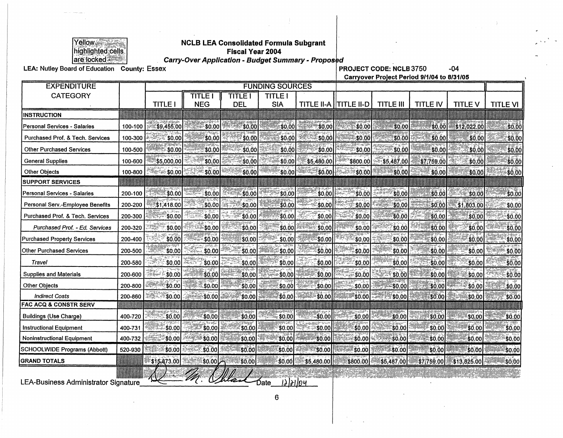

# $\begin{array}{l} \hline \text{Yellow} \\ \text{highlighted cells} \\ \hline \text{ingblighted cells} \end{array}$  Tiscal Year 2004<br>are locked

are locked **in the Carry-Over Application - Budget Summary - Proposed**<br>104 DROJECT CODE: NCLB 3750 -04 -04

**Carryover Project Period 9/1/04 to 8/31/05** 

| <b>EXPENDITURE</b>                   |         | <b>FUNDING SOURCES</b>    |                       |                              |                             |                         |                         |                  |                 |                |                 |
|--------------------------------------|---------|---------------------------|-----------------------|------------------------------|-----------------------------|-------------------------|-------------------------|------------------|-----------------|----------------|-----------------|
| <b>CATEGORY</b>                      |         | <b>TITLE I</b>            | TITLE I<br><b>NEG</b> | <b>TITLE I</b><br><b>DEL</b> | <b>TITLE!</b><br><b>SIA</b> |                         | TITLE II-A   TITLE II-D | <b>TITLE III</b> | <b>TITLE IV</b> | <b>TITLE V</b> | <b>TITLE VI</b> |
| <b>INSTRUCTION</b>                   |         |                           |                       |                              |                             |                         |                         |                  |                 |                |                 |
| Personal Services - Salaries         | 100-100 | \$9,455,00                | \$0.00                | \$0.00                       | \$0,00                      | \$0.00                  | \$0.00                  | \$0.00           | \$0.00          | \$12,022.00    | \$0.0           |
| Purchased Prof. & Tech. Services     | 100-300 | \$0.00                    | ′\$0,00               | \$0.00                       | \$0.00                      | 30,00                   | \$0.00                  | \$0.00           | \$0.00          | \$0.00         | \$0.0           |
| <b>Other Purchased Services</b>      | 100-500 | \$0.00                    | \$0.00                | -\$0,00                      | \$0.00                      | \$0.00                  | \$0.00                  | \$0.00           | \$0.00          | \$0,00         | \$0.0           |
| <b>General Supplies</b>              | 100-600 | \$5,000.00                | \$0,00                | \$0,00                       | \$0.00                      | \$5,480.00              | '\$800.00               | $-$ \$5,487.00   | \$7,759.00      | \$0.00         | \$0,0           |
| <b>Other Objects</b>                 | 100-800 | <sup>ಕ್ಕ</sup> ಿತ್:\$0.00 | -\$0.00               | \$0.00                       | \$0.00                      | :\$0.00                 | ে \$0.00∣               | \$0,00           | \$0.00          | \$0.00         | \$0.0           |
| <b>SUPPORT SERVICES</b>              |         |                           |                       |                              |                             |                         |                         |                  |                 |                |                 |
| Personal Services - Salaries         | 200-100 | \$0.00                    | \$0.00                | \$0.00                       | \$0.00                      | \$0.00                  | \$0.00                  | \$0.00           | \$0.00          | \$0.00         | \$0.0           |
| Personal Serv.-Employee Benefits     | 200-200 | \$1,418.00                | \$0.00                | \$0.00                       | \$0.00                      | \$0.00                  | :\$0.00                 | <b>\$0.00</b>    | \$0.00          | \$1,803.00     | \$0.0           |
| Purchased Prof. & Tech. Services     | 200-300 | \$0.00                    | \$0,00                | \$0.00                       | \$0.00                      | \$0.00                  | \$0.00                  | \$0.00           | \$0,00          | \$0.00         | -\$0.0          |
| Purchased Prof. - Ed. Services       | 200-320 | \$0.00                    | -\$0.00               | \$0,00                       | \$0.00                      | \$0,00                  | \$0.00                  | \$0.00           | \$0.00          | \$0.00         | \$0.0           |
| <b>Purchased Property Services</b>   | 200-400 | \$0.00                    | \$0.00                | \$0.00                       | $-$ \$0.00                  | \$0.00                  | -\$0,00                 | \$0.00           | \$0.00          | \$0.00         | \$0,00          |
| <b>Other Purchased Services</b>      | 200-500 | \$0.00                    | <b>\$0.00</b>         | \$0.00                       | -\$0.00                     | \$0.00J                 | \$0.00                  | 50,00            | \$0.00          | '\$0.00        | \$0.00          |
| Travel                               | 200-580 | \$0.00                    | \$0.00                | $-50.00$                     | \$0.00                      | -\$0.00                 | \$0.00                  | -\$0,00          | \$0.00          | \$0.00         | \$0.00          |
| <b>Supplies and Materials</b>        | 200-600 | \$0.00                    | \$0.00                | \$0.00                       | \$0.00                      | ∶\$0.00                 | \$0.00                  | 50.00            | \$0.00          | \$0.00         | \$0.00          |
| <b>Other Objects</b>                 | 200-800 | :\$0.00                   | \$0.00                | \$0.00                       | \$0.00                      | \$0.00                  | \$0.00                  | \$0.00           | :\$0.00         | <b>\$0.00</b>  | \$0.00          |
| <b>Indirect Costs</b>                | 200-860 | ి\$0.00                   | \$0.00                | \$0.00                       | ∶\$0.00                     | \$0.00                  | "\$0.00                 | \$0.00           | \$0.00          | \$0.00         | \$0.00          |
| <b>FAC ACQ &amp; CONSTR SERV</b>     |         |                           |                       |                              |                             |                         |                         |                  |                 |                |                 |
| <b>Buildings (Use Charge)</b>        | 400-720 | 50.00                     | \$0.00                | \$0.00                       | ∶\$0.00                     | \$0.00                  | \$0.00                  | \$0.00           | \$0.00          | \$0,00         | - \$0.00        |
| <b>Instructional Equipment</b>       | 400-731 | \$0.00                    | ∶\$0.00               | \$0.00                       | §0.00∣                      | \$0.00                  | : \$0.00                | \$0.00           | 30.00           | \$0.00         | \$0.00          |
| <b>Noninstructional Equipment</b>    | 400-732 | \$0.00                    | \$0.00                | \$0.00                       | \$0.00                      | <b>\$0.00</b>           | \$0.00                  | \$0.00           | \$0.00          | \$0.00         | \$0.0C          |
| <b>SCHOOLWIDE Programs (Abbott)</b>  | 520-930 | \$0.00                    | \$0.00                | \$0.00                       | \$0.00                      | \$0.00                  | \$0.00                  | \$0.00]          | \$0.00          | \$0.00         | \$0.00          |
| <b>GRAND TOTALS</b>                  |         | ី\$15.873.00              | ిం.oo                 | \$0.00                       |                             | $ 50.00 $ $ 55.480.00 $ | \$800.00                | \$5,487,00       | \$7,759.00      | \$13,825.00    | \$0.00          |
| LEA-Business Administrator Signature |         |                           |                       |                              | 12/21/04<br>Date            |                         |                         |                  |                 |                |                 |

ار<br>"\_\_\_LEA-Business Administrator Signature

6